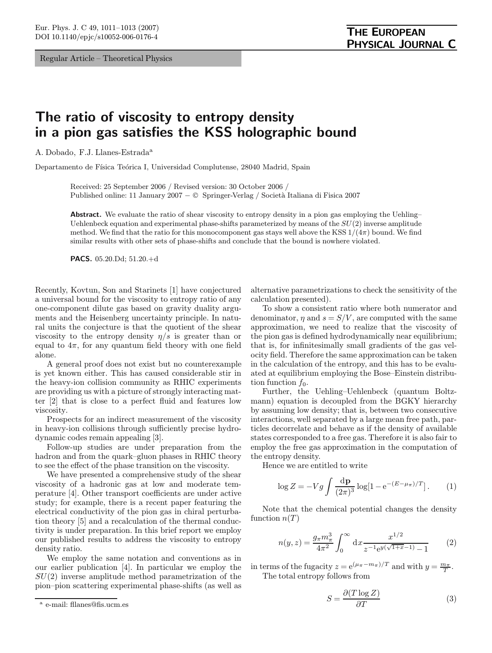Regular Article – Theoretical Physics

## The ratio of viscosity to entropy density in a pion gas satisfies the KSS holographic bound

A. Dobado, F.J. Llanes-Estrada<sup>a</sup>

Departamento de Física Teórica I, Universidad Complutense, 28040 Madrid, Spain

Received: 25 September 2006 / Revised version: 30 October 2006 / Published online: 11 January 2007 − © Springer-Verlag / Societ`a Italiana di Fisica 2007

Abstract. We evaluate the ratio of shear viscosity to entropy density in a pion gas employing the Uehling– Uehlenbeck equation and experimental phase-shifts parameterized by means of the  $SU(2)$  inverse amplitude method. We find that the ratio for this monocomponent gas stays well above the KSS  $1/(4\pi)$  bound. We find similar results with other sets of phase-shifts and conclude that the bound is nowhere violated.

PACS. 05.20.Dd; 51.20.+d

Recently, Kovtun, Son and Starinets [1] have conjectured a universal bound for the viscosity to entropy ratio of any one-component dilute gas based on gravity duality arguments and the Heisenberg uncertainty principle. In natural units the conjecture is that the quotient of the shear viscosity to the entropy density  $\eta/s$  is greater than or equal to  $4\pi$ , for any quantum field theory with one field alone.

A general proof does not exist but no counterexample is yet known either. This has caused considerable stir in the heavy-ion collision community as RHIC experiments are providing us with a picture of strongly interacting matter [2] that is close to a perfect fluid and features low viscosity.

Prospects for an indirect measurement of the viscosity in heavy-ion collisions through sufficiently precise hydrodynamic codes remain appealing [3].

Follow-up studies are under preparation from the hadron and from the quark–gluon phases in RHIC theory to see the effect of the phase transition on the viscosity.

We have presented a comprehensive study of the shear viscosity of a hadronic gas at low and moderate temperature [4]. Other transport coefficients are under active study; for example, there is a recent paper featuring the electrical conductivity of the pion gas in chiral perturbation theory [5] and a recalculation of the thermal conductivity is under preparation. In this brief report we employ our published results to address the viscosity to entropy density ratio.

We employ the same notation and conventions as in our earlier publication [4]. In particular we employ the  $SU(2)$  inverse amplitude method parametrization of the pion–pion scattering experimental phase-shifts (as well as alternative parametrizations to check the sensitivity of the calculation presented).

To show a consistent ratio where both numerator and denominator,  $\eta$  and  $s = S/V$ , are computed with the same approximation, we need to realize that the viscosity of the pion gas is defined hydrodynamically near equilibrium; that is, for infinitesimally small gradients of the gas velocity field. Therefore the same approximation can be taken in the calculation of the entropy, and this has to be evaluated at equilibrium employing the Bose–Einstein distribution function  $f_0$ .

Further, the Uehling–Uehlenbeck (quantum Boltzmann) equation is decoupled from the BGKY hierarchy by assuming low density; that is, between two consecutive interactions, well separated by a large mean free path, particles decorrelate and behave as if the density of available states corresponded to a free gas. Therefore it is also fair to employ the free gas approximation in the computation of the entropy density.

Hence we are entitled to write

$$
\log Z = -Vg \int \frac{\mathrm{d} \mathbf{p}}{(2\pi)^3} \log[1 - e^{-(E - \mu_\pi)/T}]. \tag{1}
$$

Note that the chemical potential changes the density function  $n(T)$ 

$$
n(y,z) = \frac{g_{\pi}m_{\pi}^3}{4\pi^2} \int_0^{\infty} dx \frac{x^{1/2}}{z^{-1}e^{y(\sqrt{1+x}-1)} - 1}
$$
 (2)

in terms of the fugacity  $z = e^{(\mu_{\pi} - m_{\pi})/T}$  and with  $y = \frac{m_{\pi}}{T}$ . The total entropy follows from

$$
S = \frac{\partial (T \log Z)}{\partial T} \tag{3}
$$

<sup>a</sup> e-mail: fllanes@fis.ucm.es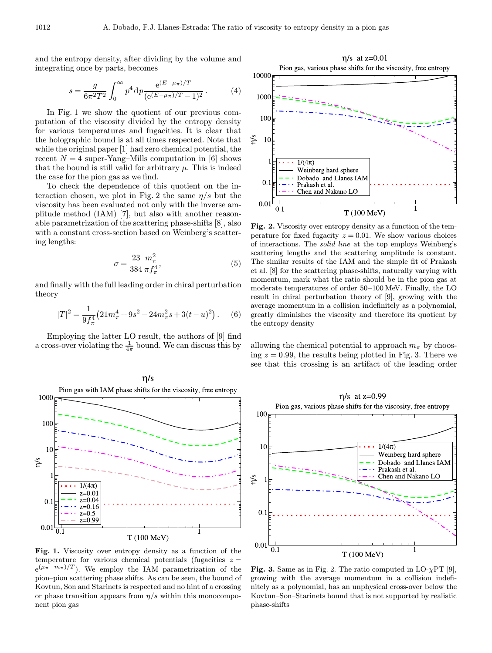and the entropy density, after dividing by the volume and integrating once by parts, becomes

$$
s = \frac{g}{6\pi^2 T^2} \int_0^\infty p^4 \, \mathrm{d}p \frac{\mathrm{e}^{(E - \mu_\pi)/T}}{(\mathrm{e}^{(E - \mu_\pi)/T} - 1)^2} \,. \tag{4}
$$

In Fig. 1 we show the quotient of our previous computation of the viscosity divided by the entropy density for various temperatures and fugacities. It is clear that the holographic bound is at all times respected. Note that while the original paper [1] had zero chemical potential, the recent  $N = 4$  super-Yang–Mills computation in [6] shows that the bound is still valid for arbitrary  $\mu$ . This is indeed the case for the pion gas as we find.

To check the dependence of this quotient on the interaction chosen, we plot in Fig. 2 the same  $\eta/s$  but the viscosity has been evaluated not only with the inverse amplitude method (IAM) [7], but also with another reasonable parametrization of the scattering phase-shifts [8], also with a constant cross-section based on Weinberg's scattering lengths:

$$
\sigma = \frac{23}{384} \frac{m_{\pi}^2}{\pi f_{\pi}^4},\tag{5}
$$

and finally with the full leading order in chiral perturbation theory

$$
|T|^2 = \frac{1}{9f_\pi^4} \left( 21m_\pi^4 + 9s^2 - 24m_\pi^2 s + 3(t - u)^2 \right). \tag{6}
$$

Employing the latter LO result, the authors of [9] find a cross-over violating the  $\frac{1}{4\pi}$  bound. We can discuss this by



Fig. 1. Viscosity over entropy density as a function of the temperature for various chemical potentials (fugacities  $z =$  $e^{(\mu_{\pi}-m_{\pi})/T}$ . We employ the IAM parametrization of the pion–pion scattering phase shifts. As can be seen, the bound of Kovtun, Son and Starinets is respected and no hint of a crossing or phase transition appears from  $\eta/s$  within this monocomponent pion gas

 $\eta$ /s at z=0.01 Pion gas, various phase shifts for the viscosity, free entropy



Fig. 2. Viscosity over entropy density as a function of the temperature for fixed fugacity  $z = 0.01$ . We show various choices of interactions. The solid line at the top employs Weinberg's scattering lengths and the scattering amplitude is constant. The similar results of the IAM and the simple fit of Prakash et al. [8] for the scattering phase-shifts, naturally varying with momentum, mark what the ratio should be in the pion gas at moderate temperatures of order 50–100 MeV. Finally, the LO result in chiral perturbation theory of [9], growing with the average momentum in a collision indefinitely as a polynomial, greatly diminishes the viscosity and therefore its quotient by the entropy density

allowing the chemical potential to approach  $m_{\pi}$  by choosing  $z = 0.99$ , the results being plotted in Fig. 3. There we see that this crossing is an artifact of the leading order

 $\eta$ /s at z=0.99 Pion gas, various phase shifts for the viscosity, free entropy 100  $1/(4\pi)$  $1<sup>1</sup>$ Weinberg hard sphere Dobado and Llanes IAM Prakash et al.  $\eta$ Chen and Nakano LC  $0.1$  $0.01$ T (100 MeV)

**Fig. 3.** Same as in Fig. 2. The ratio computed in LO- $\chi$ PT [9], growing with the average momentum in a collision indefinitely as a polynomial, has an unphysical cross-over below the Kovtun–Son–Starinets bound that is not supported by realistic phase-shifts